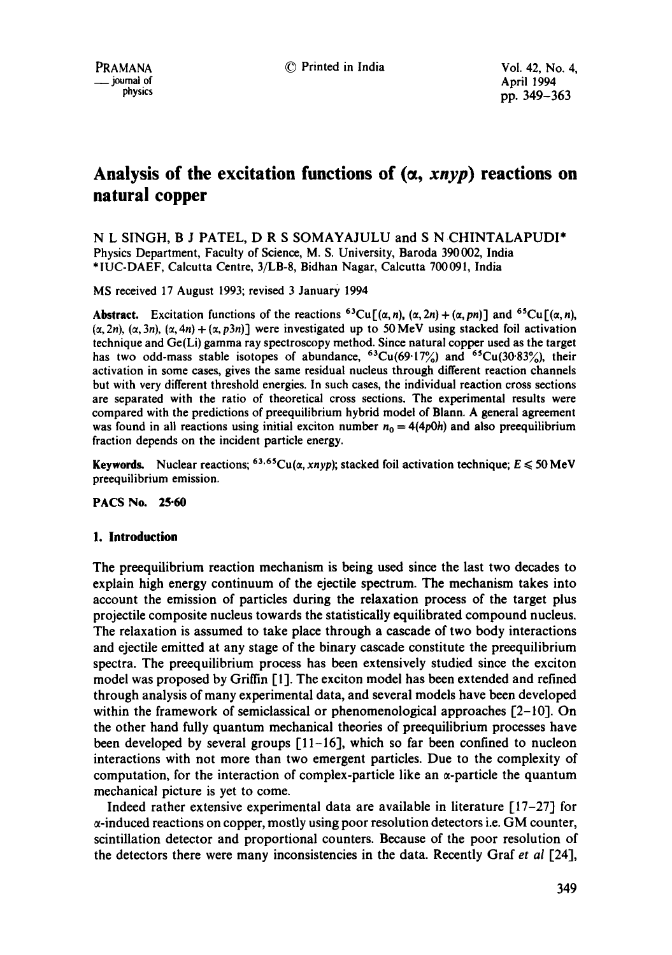# Analysis of the excitation functions of  $(\alpha, x_n y_p)$  reactions on **natural copper**

N L SINGH, B J PATEL, D R S SOMAYAJULU and S N CHINTALAPUDI\* Physics Department, Faculty of Science, M. S. University, Baroda 390002, India \*IUC-DAEF, Calcutta Centre, 3/LB-8, Bidhan Nagar, Calcutta 700091, India

MS received 17 August 1993; revised 3 January 1994

**Abstract.** Excitation functions of the reactions <sup>63</sup>Cu[( $\alpha$ , *n*), ( $\alpha$ , 2*n*) + ( $\alpha$ , *pn*)] and <sup>65</sup>Cu[( $\alpha$ , *n*),  $(\alpha, 2n)$ ,  $(\alpha, 3n)$ ,  $(\alpha, 4n) + (\alpha, p3n)$ ] were investigated up to 50 MeV using stacked foil activation technique and Ge(Li) gamma ray spectroscopy method. Since natural copper used as the target has two odd-mass stable isotopes of abundance,  $63Cu(69.17%)$  and  $65Cu(30.83%)$ , their activation in some cases, gives the same residual nucleus through different reaction channels but with very different threshold energies. In such cases, the individual reaction cross sections are separated with the ratio of theoretical cross sections. The experimental results were compared with the predictions of preequilibrium hybrid model of Blann. A general agreement was found in all reactions using initial exciton number  $n_0 = 4(4p0h)$  and also preequilibrium fraction depends on the incident particle energy.

Keywords. Nuclear reactions; <sup>63,65</sup>Cu( $\alpha$ , *xnyp*); stacked foil activation technique;  $E \le 50$  MeV preequilibrium emission.

**PACS No. 25.60** 

## **1. Introduction**

The preequilibrium reaction mechanism is being used since the last two decades to explain high energy continuum of the ejeetile spectrum. The mechanism takes into account the emission of particles during the relaxation process of the target plus projectile composite nucleus towards the statistically equilibrated compound nucleus. The relaxation is assumed to take place through a cascade of two body interactions and ejectile emitted at any stage of the binary cascade constitute the preequilibrium spectra. The preequilibrium process has been extensively studied since the exciton model was proposed by Griffin [1]. The exciton model has been extended and refined through analysis of many experimental data, and several models have been developed within the framework of semiclassical or phenomenological approaches  $[2-10]$ . On the other hand fully quantum mechanical theories of preequilibrium processes have been developed by several groups  $[11-16]$ , which so far been confined to nucleon interactions with not more than two emergent particles. Due to the complexity of computation, for the interaction of complex-particle like an  $\alpha$ -particle the quantum mechanical picture is yet to come.

Indeed rather extensive experimental data are available in literature [17-27] for  $\alpha$ -induced reactions on copper, mostly using poor resolution detectors i.e. GM counter, scintillation detector and proportional counters. Because of the poor resolution of the detectors there were many inconsistencies in the data. Recently Graf *et al* [24],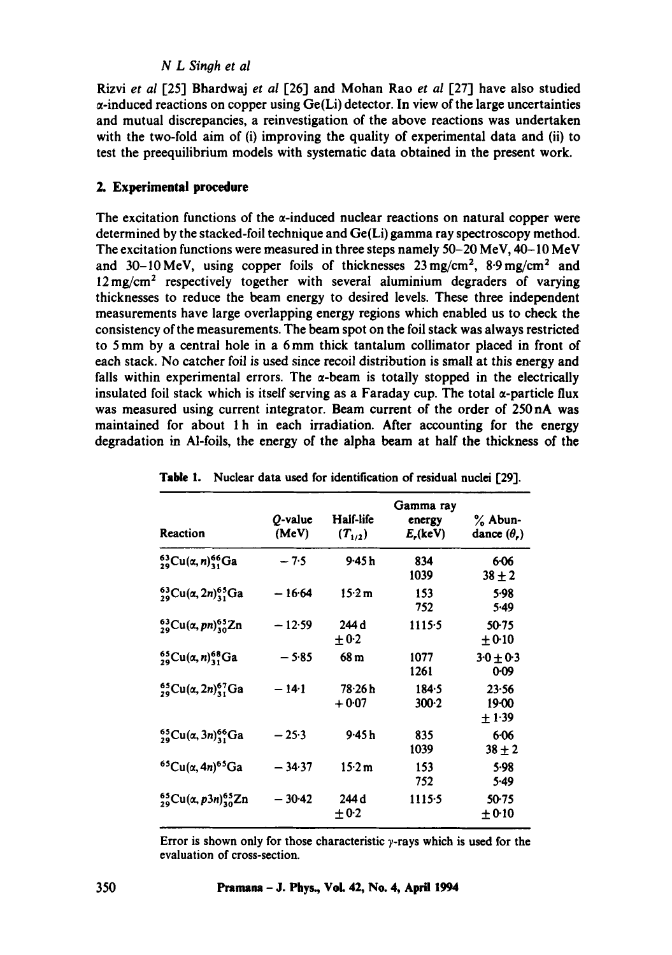# *N L Singh et al*

Rizvi *et al* [25"1 Bhardwaj *et ai* [26] and Mohan Rao *et al* [27] have also studied  $\alpha$ -induced reactions on copper using  $Ge(L)$  detector. In view of the large uncertainties and mutual discrepancies, a reinvestigation of the above reactions was undertaken with the two-fold aim of (i) improving the quality of experimental data and (ii) to test the preequilibrium models with systematic data obtained in the present work.

# **2. Experimental procedure**

The excitation functions of the  $\alpha$ -induced nuclear reactions on natural copper were determined by the stacked-foil technique and Ge(Li) gamma ray spectroscopy method. The excitation functions were measured in three steps namely 50-20 MeV, 40-10 MeV and 30-10 MeV, using copper foils of thicknesses  $23 \text{ mg/cm}^2$ ,  $8.9 \text{ mg/cm}^2$  and  $12 \text{ mg/cm}^2$  respectively together with several aluminium degraders of varying thicknesses to reduce the beam energy to desired levels. These three independent measurements have large overlapping energy regions which enabled us to check the consistency of the measurements. The beam spot on the foil stack was always restricted to 5 mm by a central hole in a 6mm thick tantalum collimator placed in front of each stack. No catcher foil is used since recoil distribution is small at this energy and falls within experimental errors. The  $\alpha$ -beam is totally stopped in the electrically insulated foil stack which is itself serving as a Faraday cup. The total  $\alpha$ -particle flux was measured using current integrator. Beam current of the order of 250 nA was maintained for about 1 h in each irradiation. After accounting for the energy degradation in M-foils, the energy of the alpha beam at half the thickness of the

| Reaction                                           | O-value<br>(MeV) | Half-life<br>$(T_{1/2})$ | Gamma ray<br>energy<br>$E_{\rm s}$ (keV) | % Abun-<br>dance $(\theta_n)$ |
|----------------------------------------------------|------------------|--------------------------|------------------------------------------|-------------------------------|
| ${}^{63}_{29}Cu(\alpha, n)^{66}_{31}Ga$            | $-7.5$           | 9-45 h                   | 834<br>1039                              | $6 - 06$<br>$38 + 2$          |
| $^{63}_{29}Cu$ ( $\alpha$ , 2n) $^{65}_{31}Ga$     | $-16.64$         | 15.2 m                   | 153<br>752                               | 5.98<br>5.49                  |
| $^{63}_{29}Cu(\alpha,pn)^{65}_{30}Zn$              | $-12.59$         | 244 d<br>$+0.2$          | 1115.5                                   | $50-75$<br>$+0.10$            |
| $^{65}_{29}Cu(a, n)^{68}_{31}Ga$                   | $-5.85$          | 68 m                     | 1077<br>1261                             | $3.0 \pm 0.3$<br>0.09         |
| ${}_{29}^{65}Cu(a, 2n)_3^{67}Ga$                   | $-14-1$          | $78 - 26h$<br>$+0.07$    | 184.5<br>$300-2$                         | 23.56<br>$19 - 00$<br>$+1.39$ |
| ${}_{29}^{65}Cu$ ( $\alpha$ , 3n) ${}_{31}^{66}Ga$ | $-25.3$          | 9·45 h                   | 835<br>1039                              | $6 - 06$<br>$38 + 2$          |
| ${}^{65}Cu(a, 4n){}^{65}Ga$                        | $-34.37$         | 15.2 m                   | 153<br>752                               | 5.98<br>5.49                  |
| $^{65}_{29}Cu$ ( $\alpha$ , p3n) $^{65}_{30}Zn$    | $-30-42$         | 244 d<br>$+0.2$          | 1115.5                                   | $50-75$<br>$+0.10$            |

| Table 1. Nuclear data used for identification of residual nuclei [29]. |  |  |  |  |  |  |  |  |
|------------------------------------------------------------------------|--|--|--|--|--|--|--|--|
|------------------------------------------------------------------------|--|--|--|--|--|--|--|--|

Error is shown only for those characteristic  $\gamma$ -rays which is used for the evaluation of cross-section.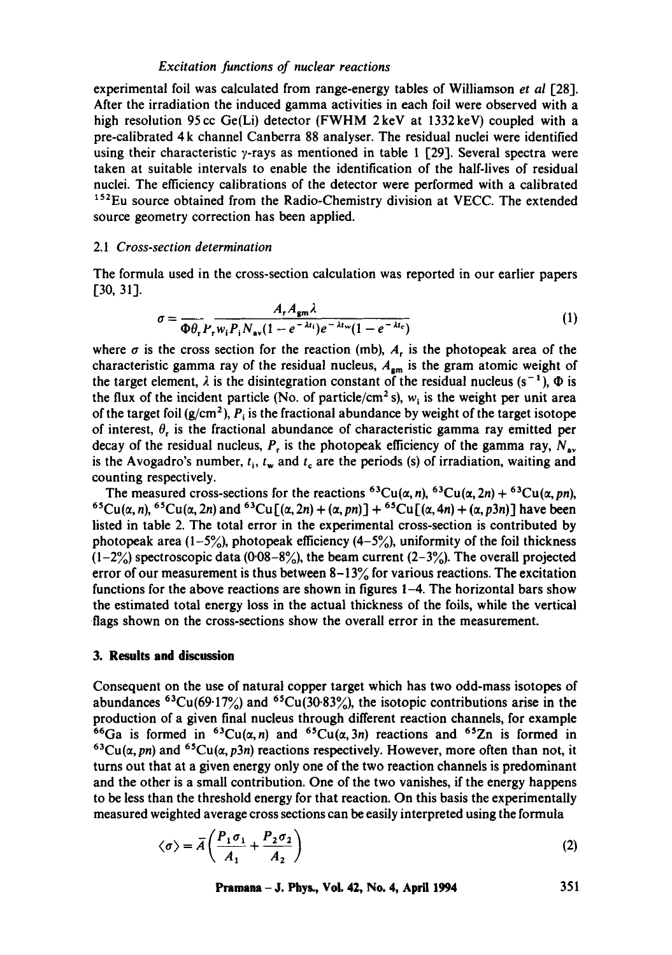#### *Excitation functions of nuclear reactions*

experimental foil was calculated from range-energy tables of Williamson *et al* [28]. After the irradiation the induced gamma activities in each foil were observed with a high resolution 95 cc Ge(Li) detector (FWHM 2keV at 1332 keV) coupled with a pre-calibrated 4 k channel Canberra 88 analyser. The residual nuclei were identified using their characteristic  $\gamma$ -rays as mentioned in table 1 [29]. Several spectra were taken at suitable intervals to enable the identification of the half-lives of residual nuclei. The efficiency calibrations of the detector were performed with a calibrated <sup>152</sup>Eu source obtained from the Radio-Chemistry division at VECC. The extended source geometry correction has been applied.

# 2.1 *Cross-section determination*

The formula used in the cross-section calculation was reported in our earlier papers [30, 31].

$$
\sigma = \frac{A_r A_{\rm gm} \lambda}{\Phi \theta_r P_r w_i P_i N_{\rm av} (1 - e^{-\lambda t_i}) e^{-\lambda t_{\rm w}} (1 - e^{-\lambda t_c})}
$$
(1)

where  $\sigma$  is the cross section for the reaction (mb), A, is the photopeak area of the characteristic gamma ray of the residual nucleus,  $A_{\rm em}$  is the gram atomic weight of the target element,  $\lambda$  is the disintegration constant of the residual nucleus (s<sup>-1</sup>),  $\Phi$  is the flux of the incident particle (No. of particle/cm<sup>2</sup> s),  $w_i$  is the weight per unit area of the target foil ( $g/cm<sup>2</sup>$ ),  $P_i$  is the fractional abundance by weight of the target isotope of interest,  $\theta_r$  is the fractional abundance of characteristic gamma ray emitted per decay of the residual nucleus,  $P_r$  is the photopeak efficiency of the gamma ray,  $N_{av}$ is the Avogadro's number,  $t_i$ ,  $t_w$  and  $t_c$  are the periods (s) of irradiation, waiting and counting respectively.

The measured cross-sections for the reactions <sup>63</sup>Cu( $\alpha$ , n), <sup>63</sup>Cu( $\alpha$ , 2n) + <sup>63</sup>Cu( $\alpha$ , pn),  ${}^{65}Cu(\alpha, n), {}^{65}Cu(\alpha, 2n)$  and  ${}^{63}Cu[(\alpha, 2n) + (\alpha, pn)] + {}^{65}Cu[(\alpha, 4n) + (\alpha, p3n)]$  have been listed in table 2. The total error in the experimental cross-section is contributed by photopeak area  $(1-5\%)$ , photopeak efficiency  $(4-5\%)$ , uniformity of the foil thickness  $(1-2\%)$  spectroscopic data (0.08-8%), the beam current (2-3%). The overall projected error of our measurement is thus between  $8-13\%$  for various reactions. The excitation functions for the above reactions are shown in figures 1-4. The horizontal bars show the estimated total energy loss in the actual thickness of the foils, while the vertical flags shown on the cross-sections show the overall error in the measurement.

## **3. Results and discussion**

Consequent on the use of natural copper target which has two odd-mass isotopes of abundances <sup>63</sup>Cu(69·17%) and <sup>65</sup>Cu(30·83%), the isotopic contributions arise in the production of a given final nucleus through different reaction channels, for example <sup>66</sup>Ga is formed in <sup>63</sup>Cu( $\alpha$ , n) and <sup>65</sup>Cu( $\alpha$ , 3n) reactions and <sup>65</sup>Zn is formed in  ${}^{63}Cu(\alpha, pn)$  and  ${}^{65}Cu(\alpha, p3n)$  reactions respectively. However, more often than not, it turns out that at a given energy only one of the two reaction channels is predominant and the other is a small contribution. One of the two vanishes, if the energy happens to be less than the threshold energy for that reaction. On this basis the experimentally measured weighted average cross sections can be easily interpreted using the formula

$$
\langle \sigma \rangle = \overline{A} \left( \frac{P_1 \sigma_1}{A_1} + \frac{P_2 \sigma_2}{A_2} \right) \tag{2}
$$

**Pramana- J. Phys., Vol. 42, No. 4, April 1994 351**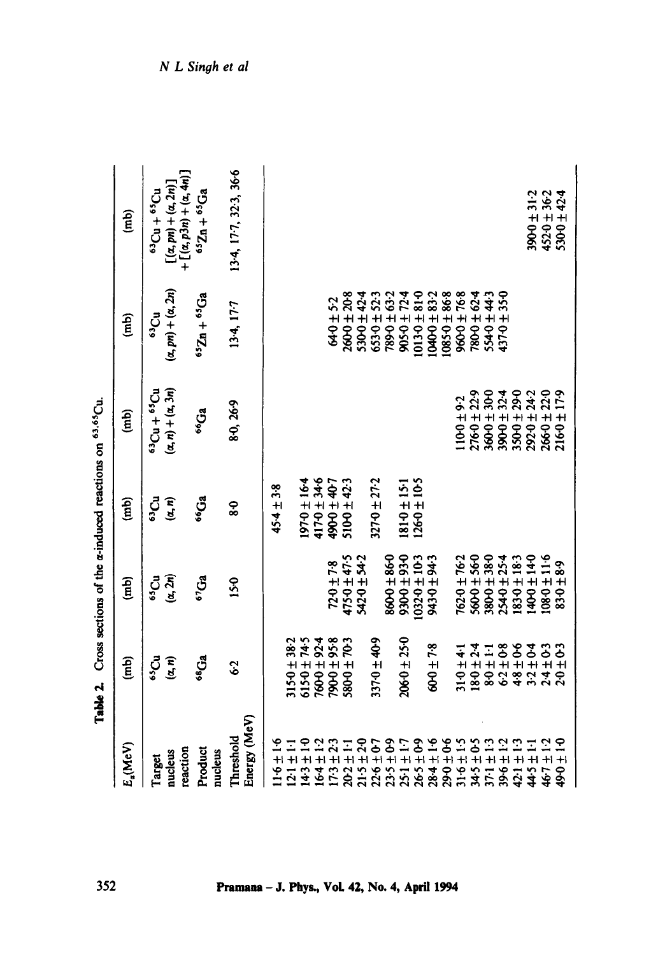| 49.67                                                                                        |
|----------------------------------------------------------------------------------------------|
| i<br>Ì                                                                                       |
| $\ddot{\phantom{a}}$                                                                         |
| $\overline{a}$<br>֧֧֧ׅ֧֧֧֧֧֧֦֧֦֧֦֧֦֧֧֦֧֧֧֦֧֦֧֦֧֧֦֧֚֚֚֚֚֚֚֚֚֚֚֚֚֚֚֚֚֚֚֚֚֚֚֚֚֚֚֝֝֓֝֓֝֓֝֓֓֓֓֝֬֞ |
|                                                                                              |
| ļ                                                                                            |
|                                                                                              |

| $E_{\alpha}(MeV)$                                                                                                                                                                                                                                                                                                           | $\binom{m}{k}$                                 | $\binom{m}{n}$     | $\binom{mb}{b}$  | $\binom{m}{n}$                    | $\binom{m}{k}$                                                                | $\binom{m}{n}$                                          |
|-----------------------------------------------------------------------------------------------------------------------------------------------------------------------------------------------------------------------------------------------------------------------------------------------------------------------------|------------------------------------------------|--------------------|------------------|-----------------------------------|-------------------------------------------------------------------------------|---------------------------------------------------------|
| Target                                                                                                                                                                                                                                                                                                                      | <b>SS</b>                                      | $\mathbf{C}$       | ದೇ               | $10$ c, $+10$ c,                  | 63 <sub>Cu</sub>                                                              | $63Cu + 65Cu$                                           |
| reaction<br>nucleus                                                                                                                                                                                                                                                                                                         | $(\alpha, n)$                                  | $(\alpha,2n)$      | $(\alpha, n)$    | $(\alpha, n) + (\alpha, 3n)$      | $(\alpha, pn) + (\alpha, 2n)$                                                 | $[(\alpha, pn) + (\alpha, 2n)] + [(a, 2n)] + [(a, 4n)]$ |
| Product<br>nucleus                                                                                                                                                                                                                                                                                                          | 68 <sub>Ga</sub>                               | 67 <sub>Ga</sub>   | <sup>66</sup> Ga | <sup>66</sup> Ga                  | $652n + 65Ga$                                                                 | $652n + 65Ga$                                           |
| Energy (MeV)<br>Threshold                                                                                                                                                                                                                                                                                                   | $\mathbf{\hat{c}}$                             | 150                | 8                | 8.0, 26.9                         | 13-4, 17-7                                                                    | 134, 177, 323, 366                                      |
| $1.6 \pm 1.6$                                                                                                                                                                                                                                                                                                               |                                                |                    | $45.4 \pm 3.8$   |                                   |                                                                               |                                                         |
| $\begin{array}{l} 121 \pm 11 \\ 123 \pm 12 \\ 134 \pm 12 \\ 135 \pm 23 \\ 136 \pm 11 \\ 132 \pm 14 \\ 136 \pm 14 \\ 137 \pm 20 \\ 138 \pm 23 \\ 139 \pm 23 \\ 139 \pm 23 \\ 139 \pm 23 \\ 139 \pm 23 \\ 139 \pm 23 \\ 139 \pm 23 \\ 139 \pm 23 \\ 139 \pm 23 \\ 139 \pm 23 \\ 139 \pm 23 \\ 139 \pm 23 \\ 139 \pm 23 \\ 13$ | $315 - 0 \pm 38 - 2$                           |                    |                  |                                   |                                                                               |                                                         |
|                                                                                                                                                                                                                                                                                                                             |                                                |                    | $-91 + 0.70$     |                                   |                                                                               |                                                         |
|                                                                                                                                                                                                                                                                                                                             |                                                |                    | 9-25 70-11       |                                   |                                                                               |                                                         |
|                                                                                                                                                                                                                                                                                                                             | $760 + 74.5$<br>$760 + 92.4$<br>$4.58 + 76.19$ | $72 - 0 \pm 7 - 8$ | 4900 ± 407       |                                   | $64.0 \pm 5.2$                                                                |                                                         |
|                                                                                                                                                                                                                                                                                                                             | 800 ± 703                                      | $4750 \pm 47.5$    | $510-0 \pm 42.3$ |                                   | $2600 \pm 2008$                                                               |                                                         |
|                                                                                                                                                                                                                                                                                                                             |                                                | 5420 ± 542         |                  |                                   | $5300 \pm 42.4$                                                               |                                                         |
| $22.6 \pm 0.7$                                                                                                                                                                                                                                                                                                              | 337-0±40-9                                     |                    | $3270 \pm 27.2$  |                                   | $653.0 \pm 52.3$                                                              |                                                         |
| $23.5 \pm 0.9$                                                                                                                                                                                                                                                                                                              |                                                | 8600 ± 860         |                  |                                   | $789 - 0 \pm 63 - 2$                                                          |                                                         |
|                                                                                                                                                                                                                                                                                                                             | $206.0 \pm 25.0$                               | $0.66 + 0.066$     | 15-15181         |                                   | $905.0 \pm 72.4$                                                              |                                                         |
|                                                                                                                                                                                                                                                                                                                             |                                                | $10320 \pm 10.3$   | $1260 \pm 10.5$  |                                   |                                                                               |                                                         |
| 2898232222222<br>284444444444444<br>2848823232448                                                                                                                                                                                                                                                                           | 600±78                                         | E-P6 ∓ 0-EP6       |                  |                                   | $10130 \pm 810$<br>$10400 \pm 833.2$<br>$10850 \pm 868$<br>$0.898 \pm 0.0001$ |                                                         |
|                                                                                                                                                                                                                                                                                                                             |                                                |                    |                  |                                   |                                                                               |                                                         |
|                                                                                                                                                                                                                                                                                                                             | $31.0 \pm 4.1$                                 | 762-0 ± 76-2       |                  | $10 - 0 \pm 9.2$                  |                                                                               |                                                         |
|                                                                                                                                                                                                                                                                                                                             | $18 - 0 \pm 2.4$                               | $5600 \pm 560$     |                  |                                   | $7800 \pm 624$                                                                |                                                         |
|                                                                                                                                                                                                                                                                                                                             |                                                | 0-86 ∓ 0-086       |                  | $2760 \pm 22.9$<br>$3600 \pm 300$ | $5540 + 443$                                                                  |                                                         |
|                                                                                                                                                                                                                                                                                                                             |                                                | $2540 \pm 254$     |                  | $3900 \pm 324$                    | 350<br>4370±                                                                  |                                                         |
|                                                                                                                                                                                                                                                                                                                             |                                                | $-1830 \pm 183$    |                  | $350 - 290$                       |                                                                               |                                                         |
|                                                                                                                                                                                                                                                                                                                             |                                                | $0.41 \pm 0.041$   |                  | $2920 \pm 24.2$                   |                                                                               | $3900 \pm 31.2$                                         |
|                                                                                                                                                                                                                                                                                                                             |                                                | $0.11 \pm 0.801$   |                  | $2660 \pm 220$                    |                                                                               | $452.0 \pm 36.2$<br>$530.0 \pm 42.4$                    |
|                                                                                                                                                                                                                                                                                                                             |                                                | $83 - 8.9$         |                  | $216.0 \pm 17.9$                  |                                                                               |                                                         |

N L Singh et al

- J. Phys., Vol. 42, No. 4

352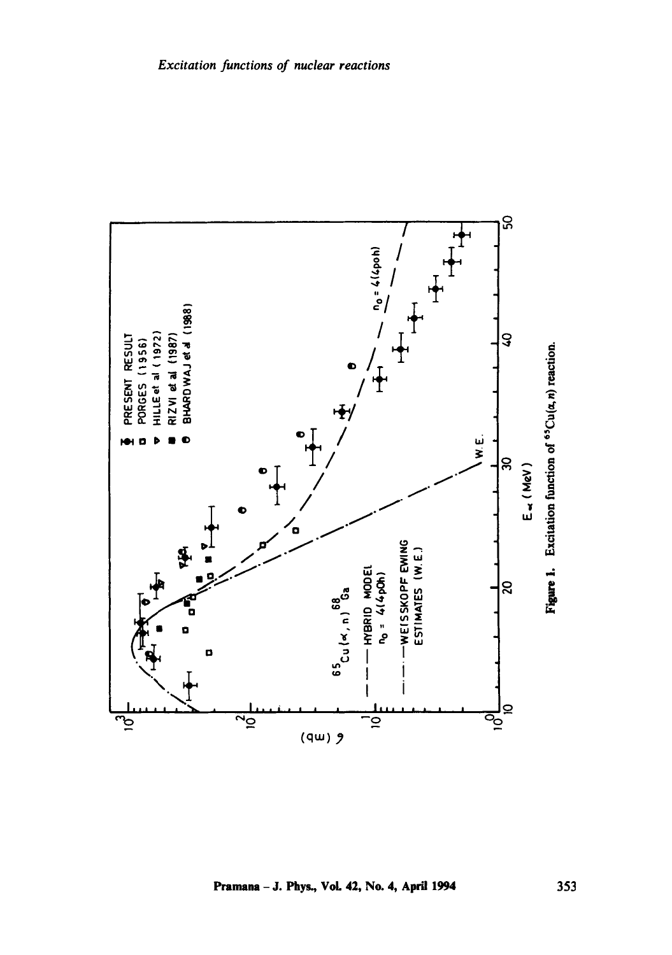

Pramana - J. Phys., Vol. 42, No. 4, April 1994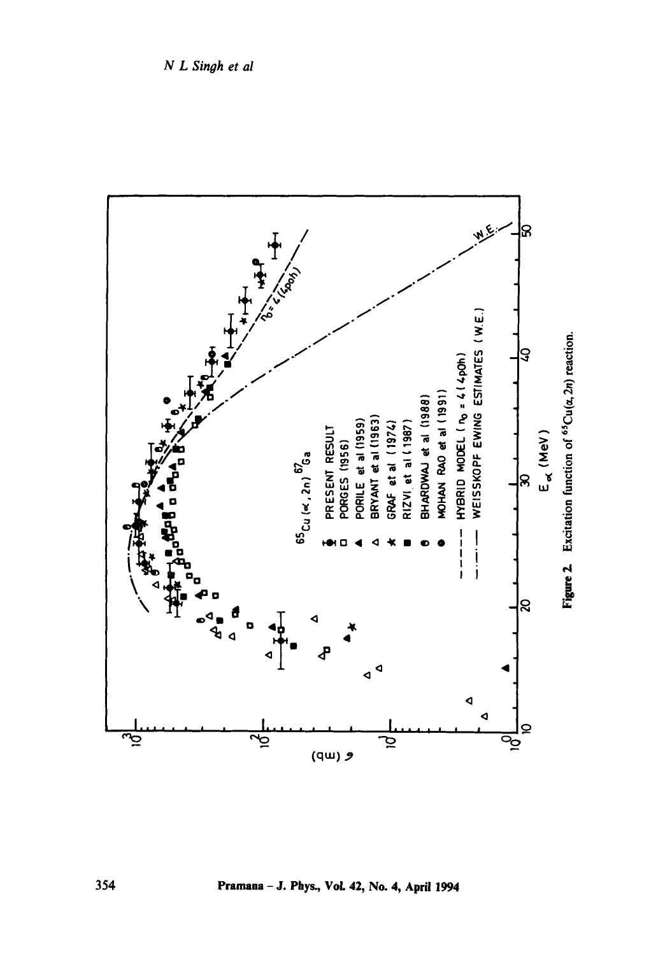

Pramana - J. Phys., Vol. 42, No. 4, April 1994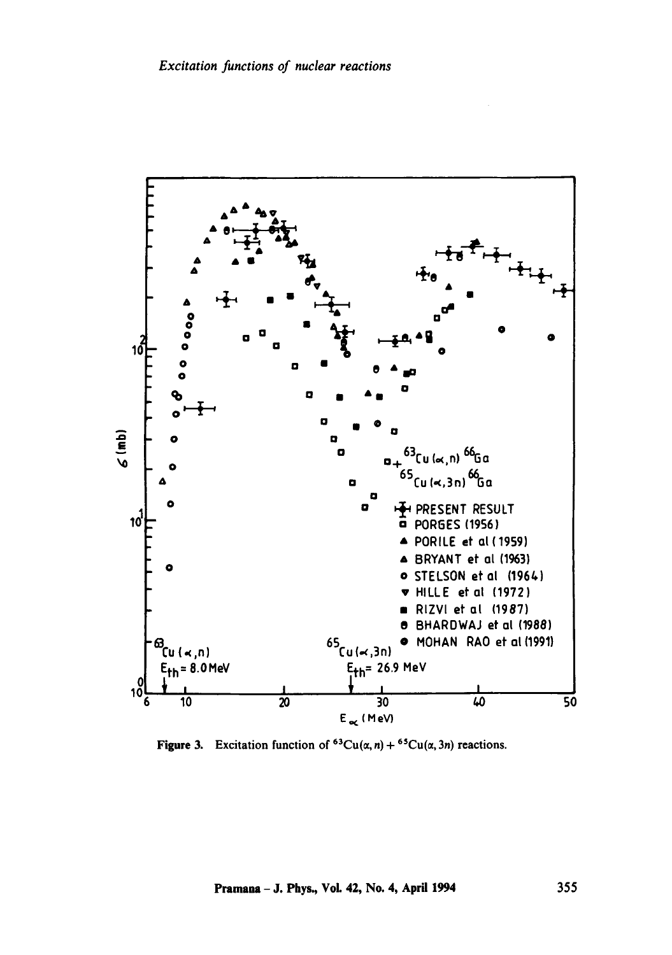

Figure 3. Excitation function of  ${}^{63}Cu(\alpha, n) + {}^{65}Cu(\alpha, 3n)$  reactions.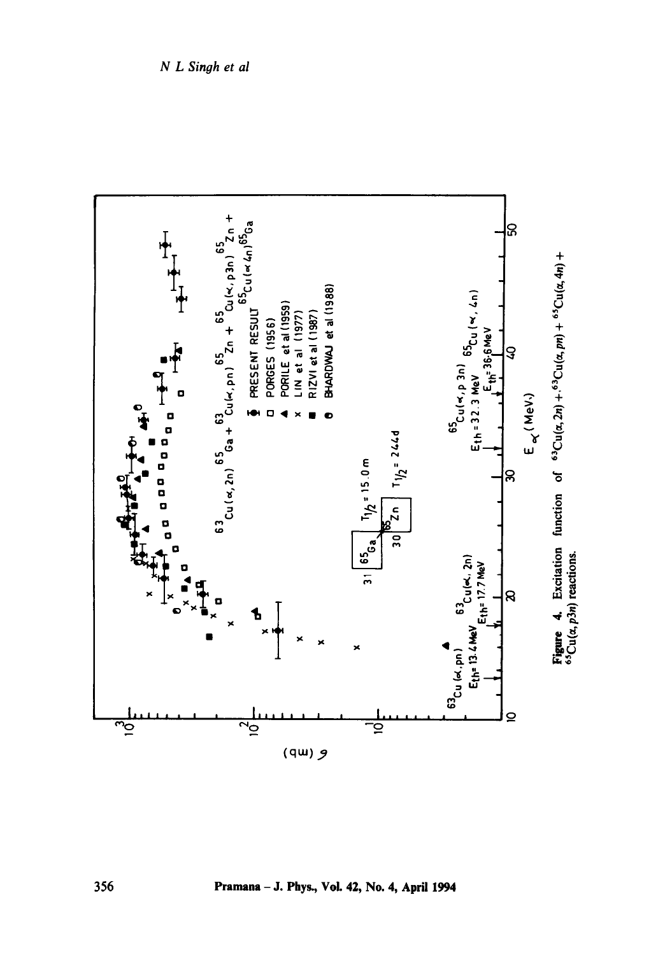

Pramana - J. Phys., Vol. 42, No. 4, April 1994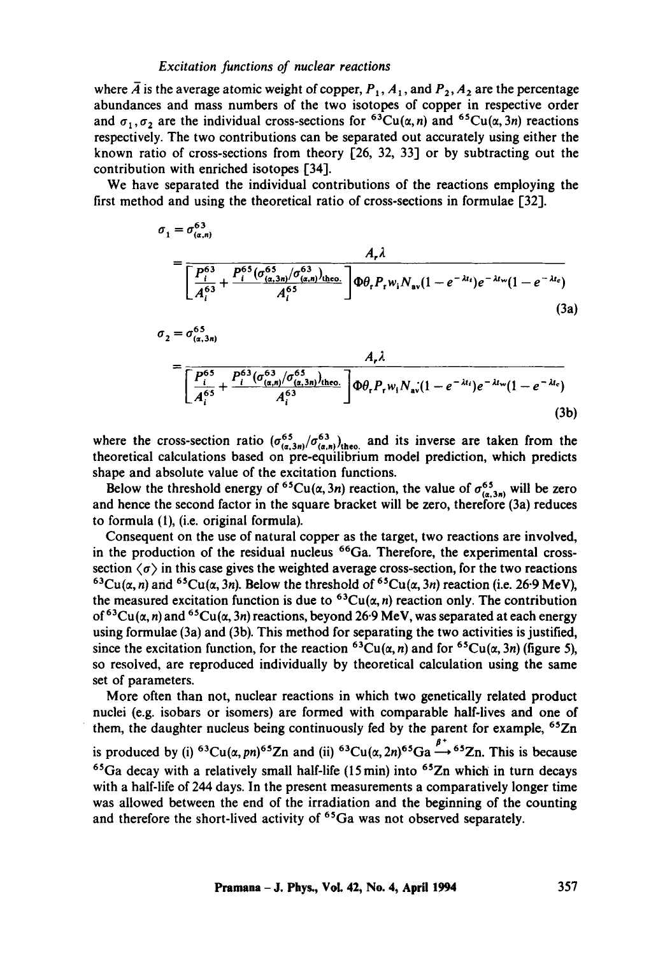#### *Excitation functions of nuclear reactions*

where  $\overline{A}$  is the average atomic weight of copper,  $P_1$ ,  $A_1$ , and  $P_2$ ,  $A_2$  are the percentage abundances and mass numbers of the two isotopes of copper in respective order and  $\sigma_1$ ,  $\sigma_2$  are the individual cross-sections for <sup>63</sup>Cu( $\alpha$ , n) and <sup>65</sup>Cu( $\alpha$ , 3n) reactions respectively. The two contributions can be separated out accurately using either the known ratio of cross-sections from theory [26, 32, 33] or by subtracting out the contribution with enriched isotopes [34].

We have separated the individual contributions of the reactions employing the first method and using the theoretical ratio of cross-sections in formulae [32].

$$
\sigma_{1} = \sigma_{(\alpha,n)}^{63}
$$
\n
$$
= \frac{A_{r} \lambda}{\left[\frac{P_{i}^{63}}{A_{i}^{63}} + \frac{P_{i}^{65}(\sigma_{(\alpha,3n)}^{63}/\sigma_{(\alpha,n)}^{63})_{\text{theo.}}}{A_{i}^{65}}\right] \Phi \theta_{r} P_{r} w_{i} N_{av} (1 - e^{-\lambda t_{i}}) e^{-\lambda t_{w}} (1 - e^{-\lambda t_{c}})}
$$
\n(3a)\n
$$
\sigma_{2} = \sigma_{(\alpha,3n)}^{65}
$$
\n
$$
= \frac{A_{r} \lambda}{\left[\frac{P_{i}^{65}}{A_{i}^{65}} + \frac{P_{i}^{63}(\sigma_{(\alpha,n)}^{63}/\sigma_{(\alpha,3n)}^{65})_{\text{theo.}}}{A_{i}^{63}}\right] \Phi \theta_{r} P_{r} w_{i} N_{av} (1 - e^{-\lambda t_{i}}) e^{-\lambda t_{w}} (1 - e^{-\lambda t_{c}})}
$$
\n(3b)

where the cross-section ratio  $(\sigma_{(a,3n)}^{65}/\sigma_{(a,n)}^{63})_{\text{theo.}}$  and its inverse are taken from the theoretical calculations based on pre-equilibrium model prediction, which predicts shape and absolute value of the excitation functions.

Below the threshold energy of <sup>65</sup>Cu( $\alpha$ , 3n) reaction, the value of  $\sigma_{(\alpha,3n)}^{65}$  will be zero and hence the second factor in the square bracket will be zero, therefore (3a) reduces to formula (1), (i.e. original formula).

Consequent on the use of natural copper as the target, two reactions are involved, in the production of the residual nucleus  $66Ga$ . Therefore, the experimental crosssection  $\langle \sigma \rangle$  in this case gives the weighted average cross-section, for the two reactions  $^{63}Cu(\alpha, n)$  and  $^{65}Cu(\alpha, 3n)$ . Below the threshold of  $^{65}Cu(\alpha, 3n)$  reaction (i.e. 26-9 MeV), the measured excitation function is due to  ${}^{63}Cu(\alpha, n)$  reaction only. The contribution of <sup>63</sup>Cu( $\alpha$ , n) and <sup>65</sup>Cu( $\alpha$ , 3n) reactions, beyond 26.9 MeV, was separated at each energy using formulae (3a) and (3b). This method for separating the two activities is justified, since the excitation function, for the reaction <sup>63</sup>Cu( $\alpha$ , n) and for <sup>65</sup>Cu( $\alpha$ , 3n) (figure 5), so resolved, are reproduced individually by theoretical calculation using the same set of parameters.

More often than not, nuclear reactions in which two genetically related product nuclei (e.g. isobars or isomers) are formed with comparable half-lives and one of them, the daughter nucleus being continuously fed by the parent for example,  $65Zn$ 

 $\frac{1}{\beta}$ is produced by (i) <sup>63</sup>Cu( $\alpha$ , pn)<sup>65</sup>Zn and (ii) <sup>63</sup>Cu( $\alpha$ , 2n)<sup>65</sup>Ga  $\rightarrow$  <sup>65</sup>Zn. This is because  $65\text{Ga}$  decay with a relatively small half-life (15 min) into  $65\text{Zn}$  which in turn decays with a half-life of 244 days. In the present measurements a comparatively longer time was allowed between the end of the irradiation and the beginning of the counting and therefore the short-lived activity of <sup>65</sup>Ga was not observed separately.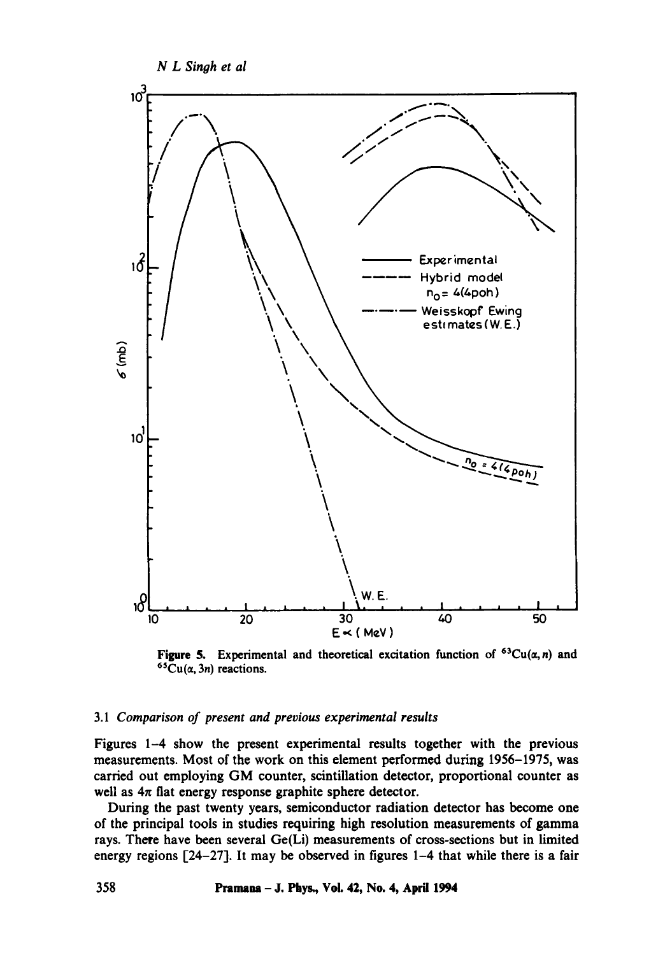

Figure 5. Experimental and theoretical excitation function of  ${}^{63}Cu(\alpha,n)$  and  ${}^{65}Cu(\alpha, 3n)$  reactions.

## *3.1 Comparison of present and previous experimental results*

Figures 1-4 show the present experimental results together with the previous measurements. Most of the work on this element performed during 1956-1975, was carried out employing GM counter, scintillation detector, proportional counter as well as  $4\pi$  flat energy response graphite sphere detector.

During the past twenty years, semiconductor radiation detector has become one of the principal tools in studies requiring high resolution measurements of gamma rays. There have been several Ge(Li) measurements of cross-sections but in limited energy regions [24-27]. It may be observed in figures 1-4 that while there is a fair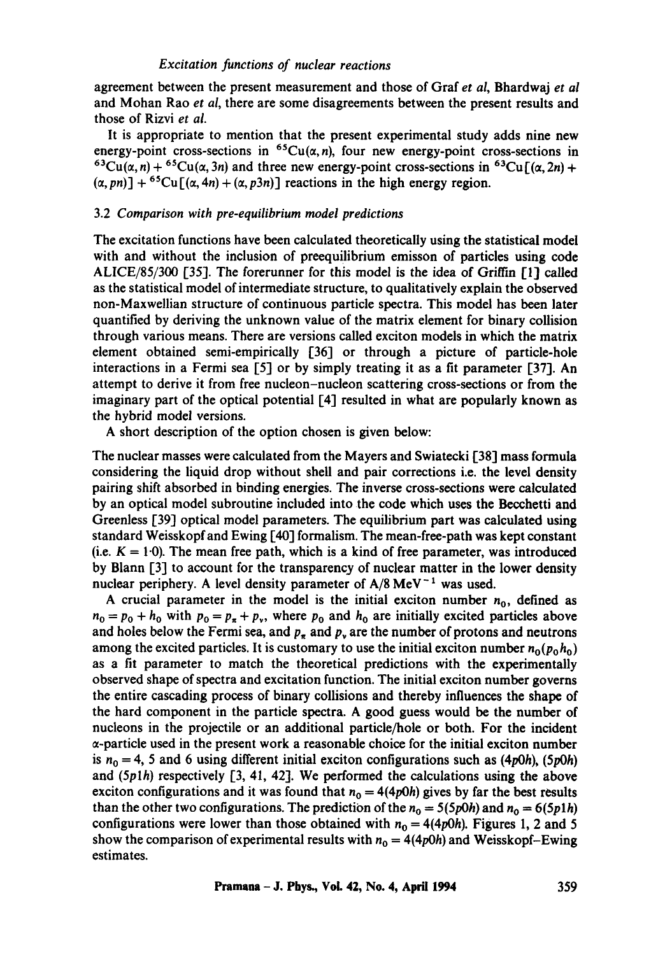agreement between the present measurement and those of Graf *et al,* Bhardwaj *et al*  and Mohan Rao *et al,* there are some disagreements between the present results and those of Rizvi *et al.* 

It is appropriate to mention that the present experimental study adds nine new energy-point cross-sections in <sup>65</sup>Cu( $\alpha$ , n), four new energy-point cross-sections in  ${}^{63}Cu(\alpha, n) + {}^{65}Cu(\alpha, 3n)$  and three new energy-point cross-sections in  ${}^{63}Cu\Gamma(\alpha, 2n)$  +  $(\alpha, pn)$ ] + <sup>65</sup>Cu[( $\alpha$ , 4n) + ( $\alpha$ ,  $p3n$ )] reactions in the high energy region.

#### *3.2 Comparison with pre-equilibrium model predictions*

The excitation functions have been calculated theoretically using the statistical model with and without the inclusion of preequilibrium emisson of particles using code ALICE/85/300 [35]. The forerunner for this model is the idea of Griffin [1] called as the statistical model of intermediate structure, to qualitatively explain the observed non-Maxwellian structure of continuous particle spectra. This model has been later quantified by deriving the unknown value of the matrix element for binary collision through various means. There are versions called exciton models in which the matrix element obtained semi-empirically [36] or through a picture of particle-hole interactions in a Fermi sea [5] or by simply treating it as a fit parameter [37]. An attempt to derive it from free nucleon-nucleon scattering cross-sections or from the imaginary part of the optical potential [4] resulted in what are popularly known as the hybrid model versions.

A short description of the option chosen is given below:

The nuclear masses were calculated from the Mayers and Swiatecki [38] mass formula considering the liquid drop without shell and pair corrections i.e. the level density pairing shift absorbed in binding energies. The inverse cross-sections were calculated by an optical model subroutine included into the code which uses the Becchetti and Greenless [39] optical model parameters. The equilibrium part was calculated using standard Weisskopf and Ewing [40] formalism. The mean-free-path was kept constant (i.e.  $K = 1.0$ ). The mean free path, which is a kind of free parameter, was introduced by Blann [3] to account for the transparency of nuclear matter in the lower density nuclear periphery. A level density parameter of  $A/8$  MeV<sup>-1</sup> was used.

A crucial parameter in the model is the initial exciton number  $n_0$ , defined as  $n_0 = p_0 + h_0$  with  $p_0 = p_{\pi} + p_{\nu}$ , where  $p_0$  and  $h_0$  are initially excited particles above and holes below the Fermi sea, and  $p<sub>r</sub>$  and  $p<sub>v</sub>$  are the number of protons and neutrons among the excited particles. It is customary to use the initial exciton number  $n_0(p_0, h_0)$ as a fit parameter to match the theoretical predictions with the experimentally observed shape of spectra and excitation function. The initial exciton number governs the entire cascading process of binary collisions and thereby influences the shape of the hard component in the particle spectra. A good guess would be the number of nucleons in the projectile or an additional particle/hole or both. For the incident  $\alpha$ -particle used in the present work a reasonable choice for the initial exciton number is  $n_0 = 4$ , 5 and 6 using different initial exciton configurations such as  $(4p0h)$ ,  $(5p0h)$ and (Splh) respectively [3, 41, 42]. We performed the calculations using the above exciton configurations and it was found that  $n_0 = 4(4p0h)$  gives by far the best results than the other two configurations. The prediction of the  $n_0 = 5(5p0h)$  and  $n_0 = 6(5p1h)$ configurations were lower than those obtained with  $n_0 = 4(4p0h)$ . Figures 1, 2 and 5 show the comparison of experimental results with  $n_0 = 4(4p0h)$  and Weisskopf-Ewing estimates.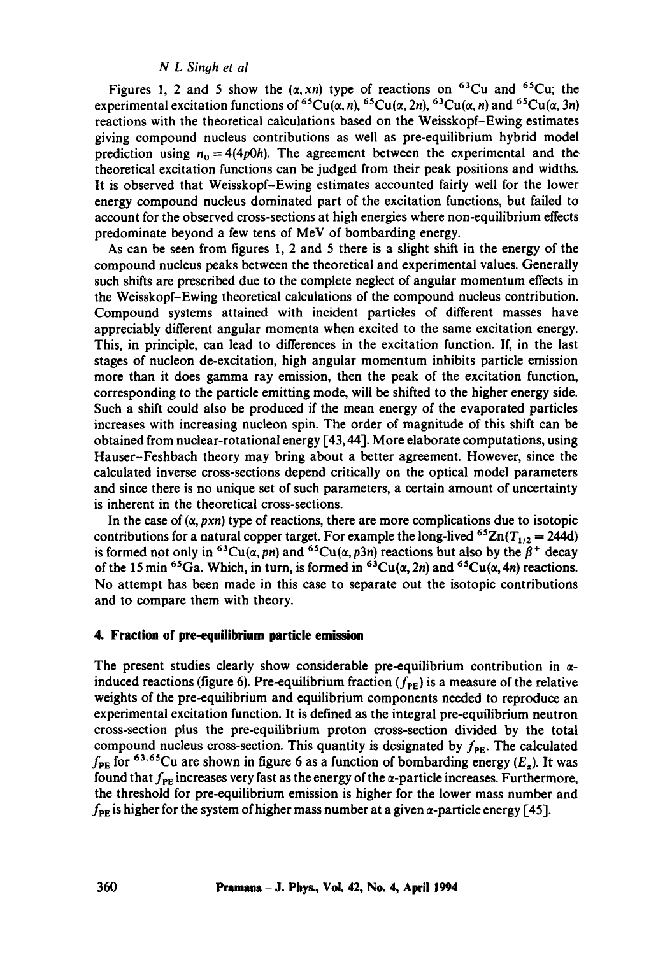#### *N L Sinoh et al*

Figures 1, 2 and 5 show the  $(\alpha, xn)$  type of reactions on <sup>63</sup>Cu and <sup>65</sup>Cu; the experimental excitation functions of <sup>65</sup>Cu( $\alpha$ , n), <sup>65</sup>Cu( $\alpha$ , 2n), <sup>63</sup>Cu( $\alpha$ , n) and <sup>65</sup>Cu( $\alpha$ , 3n) reactions with the theoretical calculations based on the Weisskopf-Ewing estimates giving compound nucleus contributions as well as pre-equilibrium hybrid model prediction using  $n_0 = 4(4p0h)$ . The agreement between the experimental and the theoretical excitation functions can be judged from their peak positions and widths. It is observed that Weisskopf-Ewing estimates accounted fairly well for the lower energy compound nucleus dominated part of the excitation functions, but failed to account for the observed cross-sections at high energies where non-equilibrium effects predominate beyond a few tens of MeV of bombarding energy.

As can be seen from figures l, 2 and 5 there is a slight shift in the energy of the compound nucleus peaks between the theoretical and experimental values. Generally such shifts are prescribed due to the complete neglect of angular momentum effects in the Weisskopf-Ewing theoretical calculations of the compound nucleus contribution. Compound systems attained with incident particles of different masses have appreciably different angular momenta when excited to the same excitation energy. This, in principle, can lead to differences in the excitation function. If, in the last stages of nucleon de-excitation, high angular momentum inhibits particle emission more than it does gamma ray emission, then the peak of the excitation function, corresponding to the particle emitting mode, will be shifted to the higher energy side. Such a shift could also be produced if the mean energy of the evaporated particles increases with increasing nucleon spin. The order of magnitude of this shift can be obtained from nuclear-rotational energy [43, 44]. More elaborate computations, using Hauser-Feshbach theory may bring about a better agreement. However, since the calculated inverse cross-sections depend critically on the optical model parameters and since there is no unique set of such parameters, a certain amount of uncertainty is inherent in the theoretical cross-sections.

In the case of  $(\alpha, pxn)$  type of reactions, there are more complications due to isotopic contributions for a natural copper target. For example the long-lived  ${}^{6}Zn(T_{1/2} = 244d)$ is formed not only in <sup>63</sup>Cu( $\alpha$ ,  $pn$ ) and <sup>65</sup>Cu( $\alpha$ ,  $p3n$ ) reactions but also by the  $\beta^+$  decay of the 15 min <sup>65</sup>Ga. Which, in turn, is formed in <sup>63</sup>Cu( $\alpha$ , 2n) and <sup>65</sup>Cu( $\alpha$ , 4n) reactions. No attempt has been made in this case to separate out the isotopic contributions and to compare them with theory.

# **4. Fraction of pre-equilibrium particle emission**

The present studies clearly show considerable pre-equilibrium contribution in  $\alpha$ induced reactions (figure 6). Pre-equilibrium fraction ( $f_{\rm PE}$ ) is a measure of the relative weights of the pre-equilibrium and equilibrium components needed to reproduce an experimental excitation function. It is defined as the integral pre-equilibrium neutron cross-section plus the pre-equilibrium proton cross-section divided by the total compound nucleus cross-section. This quantity is designated by  $f_{\text{PE}}$ . The calculated  $f_{PE}$  for <sup>63,65</sup>Cu are shown in figure 6 as a function of bombarding energy ( $E_a$ ). It was found that  $f_{PE}$  increases very fast as the energy of the  $\alpha$ -particle increases. Furthermore, the threshold for pre-equilibrium emission is higher for the lower mass number and  $f_{PE}$  is higher for the system of higher mass number at a given  $\alpha$ -particle energy [45].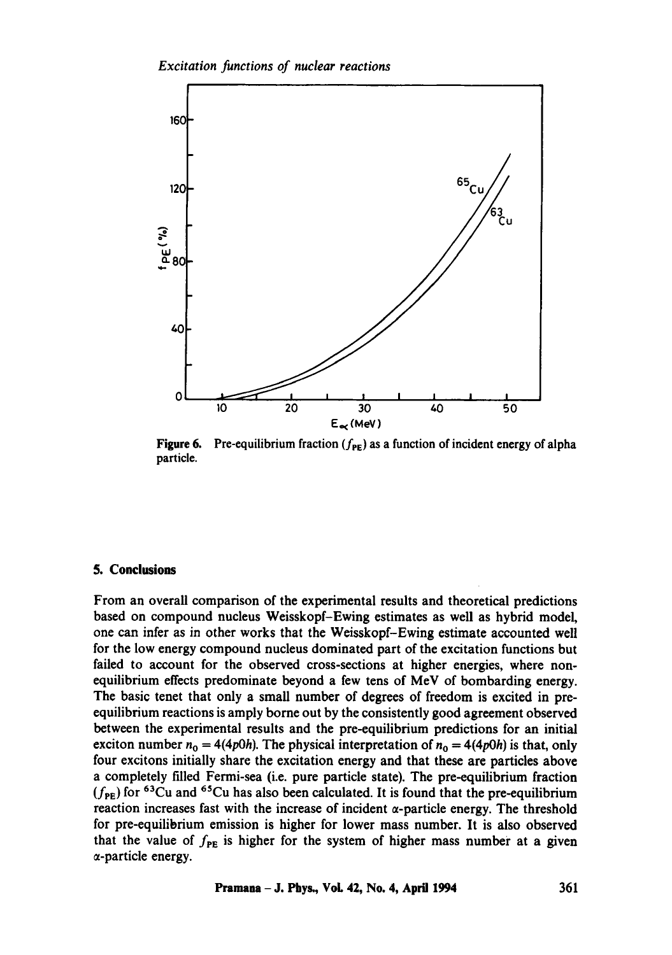

Figure 6. Pre-equilibrium fraction  $(f_{PE})$  as a function of incident energy of alpha particle.

## **5. Conclusions**

From an overall comparison of the experimental results and theoretical predictions based on compound nucleus Weisskopf-Ewing estimates as well as hybrid model, one can infer as in other works that the Weisskopf-Ewing estimate accounted well for the low energy compound nucleus dominated part of the excitation functions but failed to account for the observed cross-sections at higher energies, where nonequilibrium effects predominate beyond a few tens of MeV of bombarding energy. The basic tenet that only a small number of degrees of freedom is excited in preequilibrium reactions is amply borne out by the consistently good agreement observed between the experimental results and the pre-equilibrium predictions for an initial exciton number  $n_0 = 4(4p0h)$ . The physical interpretation of  $n_0 = 4(4p0h)$  is that, only four excitons initially share the excitation energy and that these are particles above a completely filled Fermi-sea (i.e. pure particle state). The pre-equilibrium fraction  $(f_{PE})$  for <sup>63</sup>Cu and <sup>65</sup>Cu has also been calculated. It is found that the pre-equilibrium reaction increases fast with the increase of incident  $\alpha$ -particle energy. The threshold for pre-equilibrium emission is higher for lower mass number. It is also observed that the value of  $f_{PE}$  is higher for the system of higher mass number at a given a-particle energy.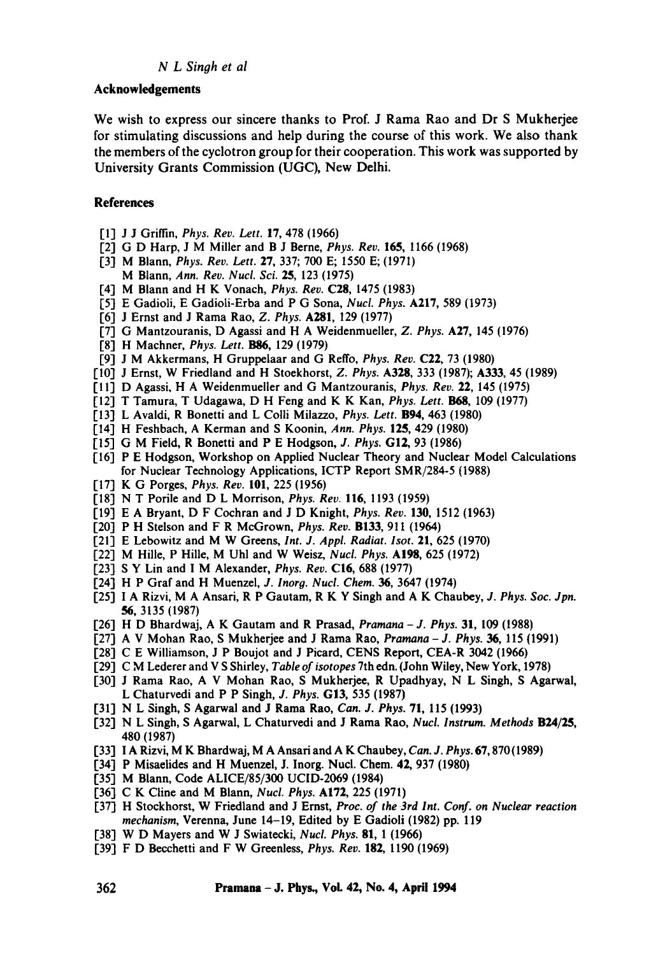## *N L Singh et al*

# **Acknowledgements**

We wish to express our sincere thanks to Prof. J Rama Rao and Dr S Mukherjee for stimulating discussions and help during the course of this work. We also thank the members of the cyclotron group for their cooperation. This work was supported by University Grants Commission (UGC), New Delhi.

# **References**

- [1] J J Griffin, *Phys. Rev. Left.* 17, 478 (1966)
- [2] G D Harp, J M Miller and B J Berne, *Phys. Rev.* 165, 1166 (1968)
- [3] M Blann, *Phys. Rev. Lett.* 27, 337; 700 E; 1550 E; (1971) M Blann, *Ann. Rev. Nucl. Sci.* 25, 123 (1975)
- [4] M Blann and H K Vonach, *Phys. Rev.* C28, 1475 (1983)
- [5] E Gadioli, E Gadioli-Erba and P G Sona, *Nucl. Phys.* A217, 589 (1973)
- [6] J Ernst and J Rama Rao, *Z. Phys.* A281, 129 (1977)
- [7] G Mantzouranis, D Agassi and H A Weidenmueller, *Z. Phys.* A27, 145 (1976)
- [8] H Machner, *Phys. Lett.* **B86**, 129 (1979)
- [9] J M Akkermans, H Gruppelaar and G Reffo, *Phys. Rev.* C22, 73 (1980)
- [10] J Ernst, W Friedland and H Stoekhorst, *Z. Phys.* A328, 333 (1987); A333, 45 (1989)
- [11] D Agassi, H A Weidenmueller and G Mantzouranis, *Phys. Rev.* 22, 145 (1975)
- [12] T Tamura, T Udagawa, D H Feng and K K Kan, *Phys. Lett. B68,* 109 (1977)
- [13] L Avaldi, R Bonetti and L Colli Milazzo, *Phys. Lett.* B94, 463 (1980)
- [14] H Feshbach, A Kerman and S Koonin, *Ann. Phys.* 125, 429 (1980)
- [15] G M Field, R Bonetti and P E Hodgson, *J. Phys.* GI2, 93 (1986)
- [16] P E Hodgson, Workshop on Applied Nuclear Theory and Nuclear Model Calculations for Nuclear Technology Applications, ICTP Report SMR/284-5 (1988)
- [17] K G Porges, *Phys. Rev.* 101, 225 (1956)
- [18] N T Porile and D L Morrison, *Phys. Rev.* 116, 1193 (1959)
- [19] E A Bryant, D F Cochran and J D Knight, *Phys. Rev.* 130, 1512 (1963)
- [20] P H Stelson and F R McGrown, *Phys. Rev.* B133, 911 (1964)
- [21] E Lebowitz and M W Greens, *Int. J. Appl. Radiat. lsot.* 21, 625 (1970)
- [22] M Hille, P Hille, M Uhl and W Weisz, *Nucl. Phys.* A!98, 625 (1972)
- [23] S Y Lin and I M Alexander, *Phys. Rev.* C16, 688 (1977)
- [24] H P Graf and H Muenzel, *J. lnorg. Nucl. Chem. 36,* 3647 (1974)
- [25] I A Rizvi, M A Ansari, R P Gautam, R K Y Singh and A K Chaubey, *J. Phys. Soc. Jpn.*  **56,** 3135 (1987)
- [26] H D Bhardwaj, A K Gautam and R Prasad, *Pramana J. Phys.* 31, 109 (1988)
- [27] A V Mohan Rao, S Mukherjee and J Rama Rao, *Praraana -J. Phys. 36,* 115 (1991)
- [28] C E Williamson, J P Boujot and J Picard, CENS Report, CEA-R 3042 (1966)
- [29] C M Lederer and V S Shirley, *Table of isotopes* 7th edn. (John Wiley, New York, 1978)
- [30] J Rama Rao, A V Mohan Rao, S Mukherjee, R Upadhyay, N L Singh, S Agarwal, L Chaturvedi and P P Singh, *J. Phys.* GI3, 535 (1987)
- [31] N L Singh, S Agarwal and J Rama Rao, *Can. J. Phys.* **71**, 115 (1993)
- [32] N L Singh, S Agarwal, L Chaturvedi and J Rama Rao, *Nucl. lnstrum. Methods* B24/25, 480 (1987)
- [33] I A Rizvi, M K Bhardwaj, M A Ansari and A K Chaubey, *Can. J. Phys.* 67, 870(1989)
- [34] P Misaelides and H Muenzel, J. Inorg. Nucl. Chem. 42, 937 (1980)
- [35] M Blann, Code ALICE/85/300 UCID-2069 (1984)
- [36] C K Cline and M Blann, *Nucl. Phys.* A172, 225 (1971)
- [37] H Stockhorst, W Friedland and J Ernst, *Proc. of the 3rd Int. Conf. on Nuclear reaction mechanism,* Verenna, June 14-19, Edited by E Gadioli (1982) pp. 119
- [38] W D Mayers and W J Swiatecki, *Nucl. Phys.* 81, 1 (1966)
- [39] F D Becchetti and F W Greenless, *Phys. Rev.* 182, 1190 (1969)